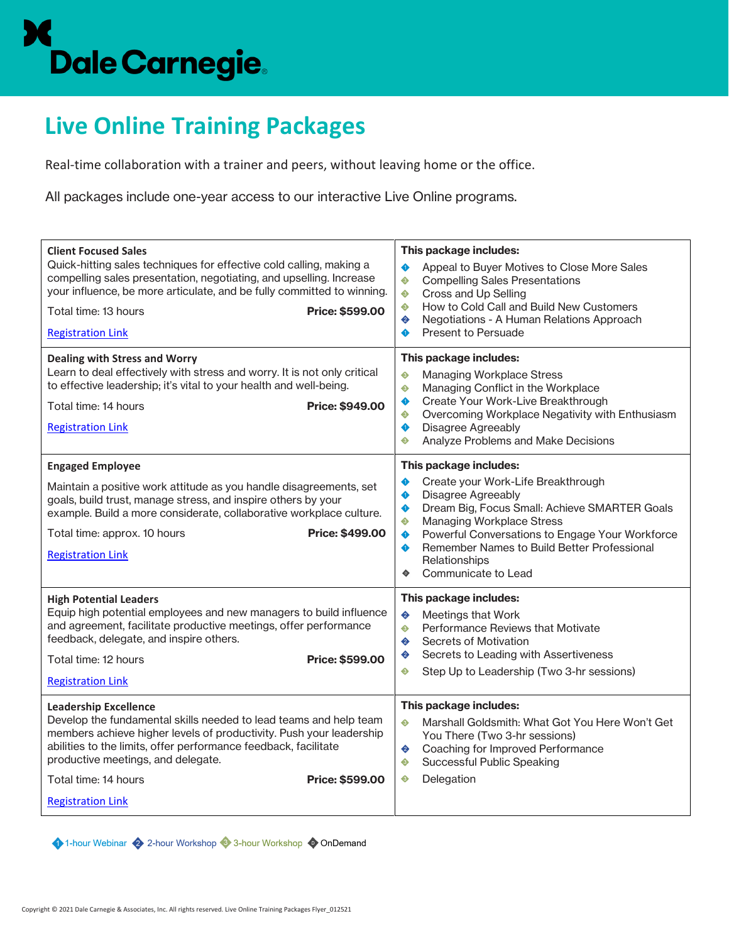## Dale Carnegie.

## **Live Online Training Packages**

Real-time collaboration with a trainer and peers, without leaving home or the office.

All packages include one-year access to our interactive Live Online programs.

| <b>Client Focused Sales</b><br>Quick-hitting sales techniques for effective cold calling, making a<br>compelling sales presentation, negotiating, and upselling. Increase<br>your influence, be more articulate, and be fully committed to winning.<br>Total time: 13 hours<br><b>Price: \$599.00</b><br><b>Registration Link</b>                                                                     | This package includes:<br>$\bullet$<br>Appeal to Buyer Motives to Close More Sales<br>♦<br><b>Compelling Sales Presentations</b><br>♦<br>Cross and Up Selling<br>How to Cold Call and Build New Customers<br>♦<br>Negotiations - A Human Relations Approach<br>♦<br>Present to Persuade<br>♦                                                                         |
|-------------------------------------------------------------------------------------------------------------------------------------------------------------------------------------------------------------------------------------------------------------------------------------------------------------------------------------------------------------------------------------------------------|----------------------------------------------------------------------------------------------------------------------------------------------------------------------------------------------------------------------------------------------------------------------------------------------------------------------------------------------------------------------|
| <b>Dealing with Stress and Worry</b><br>Learn to deal effectively with stress and worry. It is not only critical<br>to effective leadership; it's vital to your health and well-being.<br>Total time: 14 hours<br>Price: \$949.00<br><b>Registration Link</b>                                                                                                                                         | This package includes:<br><b>Managing Workplace Stress</b><br>♦<br>€<br>Managing Conflict in the Workplace<br>Create Your Work-Live Breakthrough<br>♦<br>Overcoming Workplace Negativity with Enthusiasm<br>♦<br><b>Disagree Agreeably</b><br>♦<br>Analyze Problems and Make Decisions<br>♦                                                                          |
| <b>Engaged Employee</b><br>Maintain a positive work attitude as you handle disagreements, set<br>goals, build trust, manage stress, and inspire others by your<br>example. Build a more considerate, collaborative workplace culture.<br>Price: \$499.00<br>Total time: approx. 10 hours<br><b>Registration Link</b>                                                                                  | This package includes:<br>Create your Work-Life Breakthrough<br>♦<br>Disagree Agreeably<br>$\bullet$<br>Dream Big, Focus Small: Achieve SMARTER Goals<br>$\bullet$<br><b>Managing Workplace Stress</b><br>♦<br>Powerful Conversations to Engage Your Workforce<br>◆<br>Remember Names to Build Better Professional<br>♦<br>Relationships<br>Communicate to Lead<br>٠ |
| <b>High Potential Leaders</b><br>Equip high potential employees and new managers to build influence<br>and agreement, facilitate productive meetings, offer performance<br>feedback, delegate, and inspire others.<br>Total time: 12 hours<br><b>Price: \$599.00</b><br><b>Registration Link</b><br><b>Leadership Excellence</b><br>Develop the fundamental skills needed to lead teams and help team | This package includes:<br>♦<br>Meetings that Work<br>Performance Reviews that Motivate<br>$\bullet$<br>♦<br>Secrets of Motivation<br>Secrets to Leading with Assertiveness<br>♦<br>Step Up to Leadership (Two 3-hr sessions)<br>♦<br>This package includes:<br>♦<br>Marshall Goldsmith: What Got You Here Won't Get                                                  |
| members achieve higher levels of productivity. Push your leadership<br>abilities to the limits, offer performance feedback, facilitate<br>productive meetings, and delegate.<br>Total time: 14 hours<br>Price: \$599.00<br><b>Registration Link</b>                                                                                                                                                   | You There (Two 3-hr sessions)<br>Coaching for Improved Performance<br>♦<br>Successful Public Speaking<br>♦<br>Delegation<br>♦                                                                                                                                                                                                                                        |
|                                                                                                                                                                                                                                                                                                                                                                                                       |                                                                                                                                                                                                                                                                                                                                                                      |

1-hour Webinar 2 2-hour Workshop 3-hour Workshop 2 OnDemand